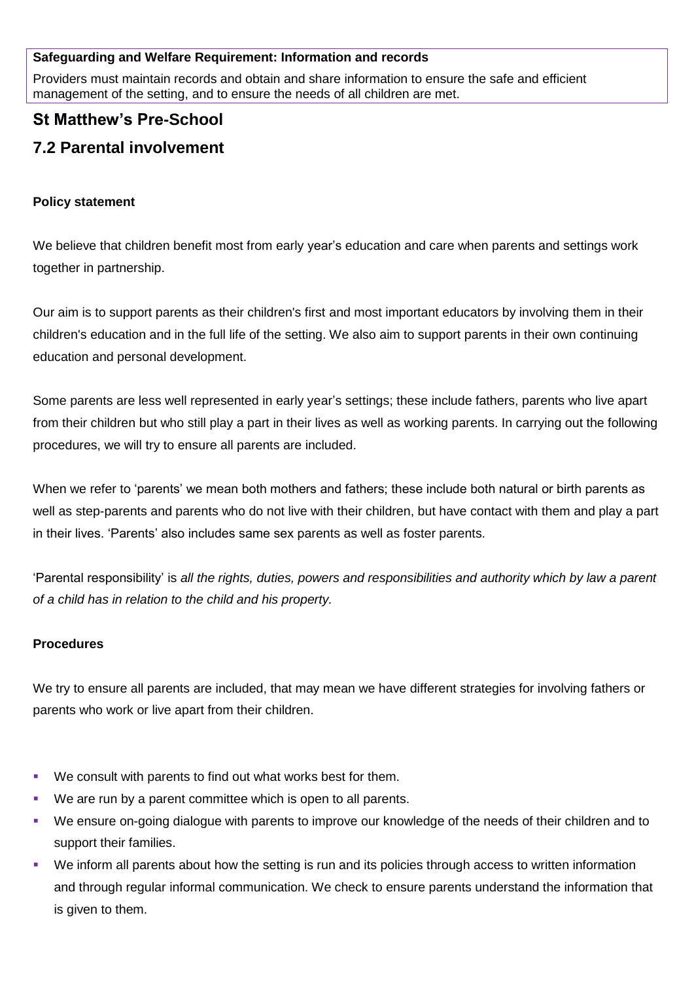### **Safeguarding and Welfare Requirement: Information and records**

Providers must maintain records and obtain and share information to ensure the safe and efficient management of the setting, and to ensure the needs of all children are met.

## **St Matthew's Pre-School**

# **7.2 Parental involvement**

### **Policy statement**

We believe that children benefit most from early year's education and care when parents and settings work together in partnership.

Our aim is to support parents as their children's first and most important educators by involving them in their children's education and in the full life of the setting. We also aim to support parents in their own continuing education and personal development.

Some parents are less well represented in early year's settings; these include fathers, parents who live apart from their children but who still play a part in their lives as well as working parents. In carrying out the following procedures, we will try to ensure all parents are included.

When we refer to 'parents' we mean both mothers and fathers; these include both natural or birth parents as well as step-parents and parents who do not live with their children, but have contact with them and play a part in their lives. 'Parents' also includes same sex parents as well as foster parents.

'Parental responsibility' is *all the rights, duties, powers and responsibilities and authority which by law a parent of a child has in relation to the child and his property.* 

### **Procedures**

We try to ensure all parents are included, that may mean we have different strategies for involving fathers or parents who work or live apart from their children.

- We consult with parents to find out what works best for them.
- We are run by a parent committee which is open to all parents.
- We ensure on-going dialogue with parents to improve our knowledge of the needs of their children and to support their families.
- We inform all parents about how the setting is run and its policies through access to written information and through regular informal communication. We check to ensure parents understand the information that is given to them.